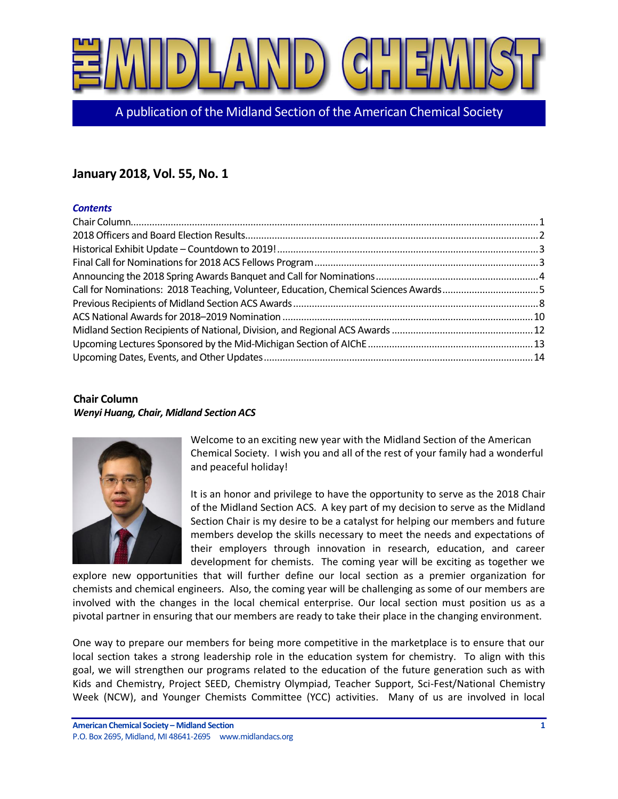

A publication of the Midland Section of the American Chemical Society

# **January 2018, Vol. 55, No. 1**

## *Contents*

| Call for Nominations: 2018 Teaching, Volunteer, Education, Chemical Sciences Awards5 |  |
|--------------------------------------------------------------------------------------|--|
|                                                                                      |  |
|                                                                                      |  |
|                                                                                      |  |
|                                                                                      |  |
|                                                                                      |  |

# <span id="page-0-0"></span>**Chair Column** *Wenyi Huang, Chair, Midland Section ACS*



Welcome to an exciting new year with the Midland Section of the American Chemical Society. I wish you and all of the rest of your family had a wonderful and peaceful holiday!

It is an honor and privilege to have the opportunity to serve as the 2018 Chair of the Midland Section ACS. A key part of my decision to serve as the Midland Section Chair is my desire to be a catalyst for helping our members and future members develop the skills necessary to meet the needs and expectations of their employers through innovation in research, education, and career development for chemists. The coming year will be exciting as together we

explore new opportunities that will further define our local section as a premier organization for chemists and chemical engineers. Also, the coming year will be challenging as some of our members are involved with the changes in the local chemical enterprise. Our local section must position us as a pivotal partner in ensuring that our members are ready to take their place in the changing environment.

One way to prepare our members for being more competitive in the marketplace is to ensure that our local section takes a strong leadership role in the education system for chemistry. To align with this goal, we will strengthen our programs related to the education of the future generation such as with Kids and Chemistry, Project SEED, Chemistry Olympiad, Teacher Support, Sci-Fest/National Chemistry Week (NCW), and Younger Chemists Committee (YCC) activities. Many of us are involved in local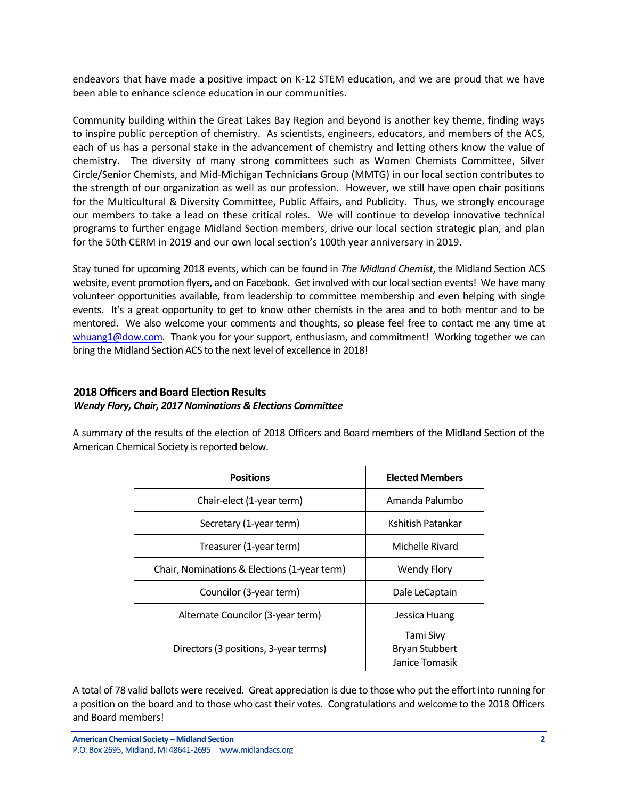endeavors that have made a positive impact on K-12 STEM education, and we are proud that we have been able to enhance science education in our communities.

Community building within the Great Lakes Bay Region and beyond is another key theme, finding ways to inspire public perception of chemistry. As scientists, engineers, educators, and members of the ACS, each of us has a personal stake in the advancement of chemistry and letting others know the value of chemistry. The diversity of many strong committees such as Women Chemists Committee, Silver Circle/Senior Chemists, and Mid-Michigan Technicians Group (MMTG) in our local section contributes to the strength of our organization as well as our profession. However, we still have open chair positions for the Multicultural & Diversity Committee, Public Affairs, and Publicity. Thus, we strongly encourage our members to take a lead on these critical roles. We will continue to develop innovative technical programs to further engage Midland Section members, drive our local section strategic plan, and plan for the 50th CERM in 2019 and our own local section's 100th year anniversary in 2019.

Stay tuned for upcoming 2018 events, which can be found in *The Midland Chemist*, the Midland Section ACS website, event promotion flyers, and on Facebook. Get involved with our local section events! We have many volunteer opportunities available, from leadership to committee membership and even helping with single events. It's a great opportunity to get to know other chemists in the area and to both mentor and to be mentored. We also welcome your comments and thoughts, so please feel free to contact me any time at [whuang1@dow.com.](mailto:whuang1@dow.com) Thank you for your support, enthusiasm, and commitment! Working together we can bring the Midland Section ACS to the next level of excellence in 2018!

# <span id="page-1-0"></span>**2018 Officers and Board Election Results** *Wendy Flory, Chair, 2017 Nominations & Elections Committee*

A summary of the results of the election of 2018 Officers and Board members of the Midland Section of the American Chemical Society is reported below.

| <b>Positions</b>                             | <b>Elected Members</b> |
|----------------------------------------------|------------------------|
| Chair-elect (1-year term)                    | Amanda Palumbo         |
| Secretary (1-year term)                      | Kshitish Patankar      |
| Treasurer (1-year term)                      | Michelle Rivard        |
| Chair, Nominations & Elections (1-year term) | <b>Wendy Flory</b>     |
| Councilor (3-year term)                      | Dale LeCaptain         |
| Alternate Councilor (3-year term)            | Jessica Huang          |
|                                              | Tami Sivy              |
| Directors (3 positions, 3-year terms)        | <b>Bryan Stubbert</b>  |
|                                              | Janice Tomasik         |

A total of 78 valid ballots were received. Great appreciation is due to those who put the effort into running for a position on the board and to those who cast their votes. Congratulations and welcome to the 2018 Officers and Board members!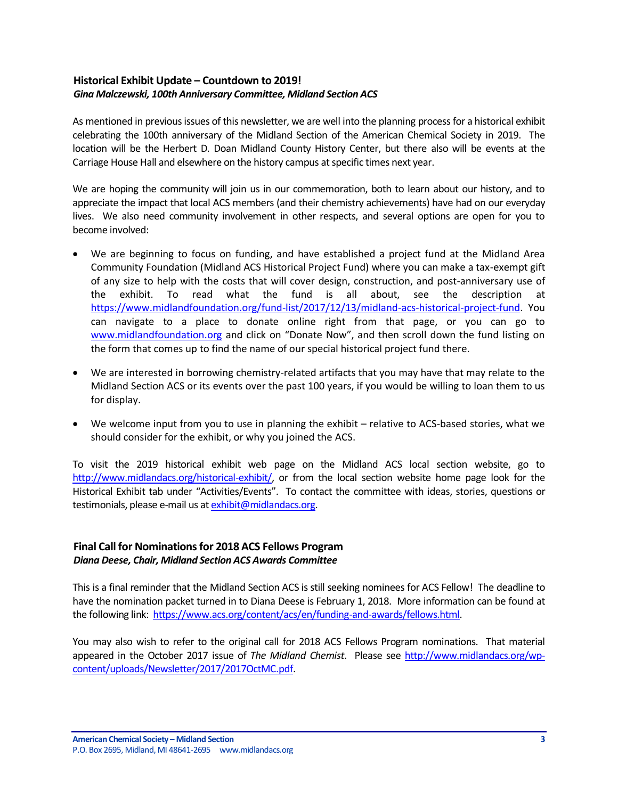# <span id="page-2-0"></span>**Historical Exhibit Update – Countdown to 2019!** *Gina Malczewski, 100th Anniversary Committee, Midland Section ACS*

As mentioned in previous issues of this newsletter, we are well into the planning process for a historical exhibit celebrating the 100th anniversary of the Midland Section of the American Chemical Society in 2019. The location will be the Herbert D. Doan Midland County History Center, but there also will be events at the Carriage House Hall and elsewhere on the history campus at specific times next year.

We are hoping the community will join us in our commemoration, both to learn about our history, and to appreciate the impact that local ACS members (and their chemistry achievements) have had on our everyday lives. We also need community involvement in other respects, and several options are open for you to become involved:

- We are beginning to focus on funding, and have established a project fund at the Midland Area Community Foundation (Midland ACS Historical Project Fund) where you can make a tax-exempt gift of any size to help with the costs that will cover design, construction, and post-anniversary use of the exhibit. To read what the fund is all about, see the description at [https://www.midlandfoundation.org/fund-list/2017/12/13/midland-acs-historical-project-fund.](https://www.midlandfoundation.org/fund-list/2017/12/13/midland-acs-historical-project-fund) You can navigate to a place to donate online right from that page, or you can go to [www.midlandfoundation.org](http://www.midlandfoundation.org/) and click on "Donate Now", and then scroll down the fund listing on the form that comes up to find the name of our special historical project fund there.
- We are interested in borrowing chemistry-related artifacts that you may have that may relate to the Midland Section ACS or its events over the past 100 years, if you would be willing to loan them to us for display.
- We welcome input from you to use in planning the exhibit relative to ACS-based stories, what we should consider for the exhibit, or why you joined the ACS.

To visit the 2019 historical exhibit web page on the Midland ACS local section website, go to [http://www.midlandacs.org/historical-exhibit/,](http://www.midlandacs.org/historical-exhibit/) or from the local section website home page look for the Historical Exhibit tab under "Activities/Events". To contact the committee with ideas, stories, questions or testimonials, please e-mail us a[t exhibit@midlandacs.org.](mailto:exhibit@midlandacs.org)

## <span id="page-2-1"></span>**Final Call for Nominations for 2018 ACS Fellows Program** *Diana Deese, Chair, Midland Section ACS Awards Committee*

This is a final reminder that the Midland Section ACS is still seeking nominees for ACS Fellow! The deadline to have the nomination packet turned in to Diana Deese is February 1, 2018. More information can be found at the following link: [https://www.acs.org/content/acs/en/funding-and-awards/fellows.html.](https://www.acs.org/content/acs/en/funding-and-awards/fellows.html)

You may also wish to refer to the original call for 2018 ACS Fellows Program nominations. That material appeared in the October 2017 issue of *The Midland Chemist*. Please see [http://www.midlandacs.org/wp](http://www.midlandacs.org/wp-content/uploads/Newsletter/2017/2017OctMC.pdf)[content/uploads/Newsletter/2017/2017OctMC.pdf.](http://www.midlandacs.org/wp-content/uploads/Newsletter/2017/2017OctMC.pdf)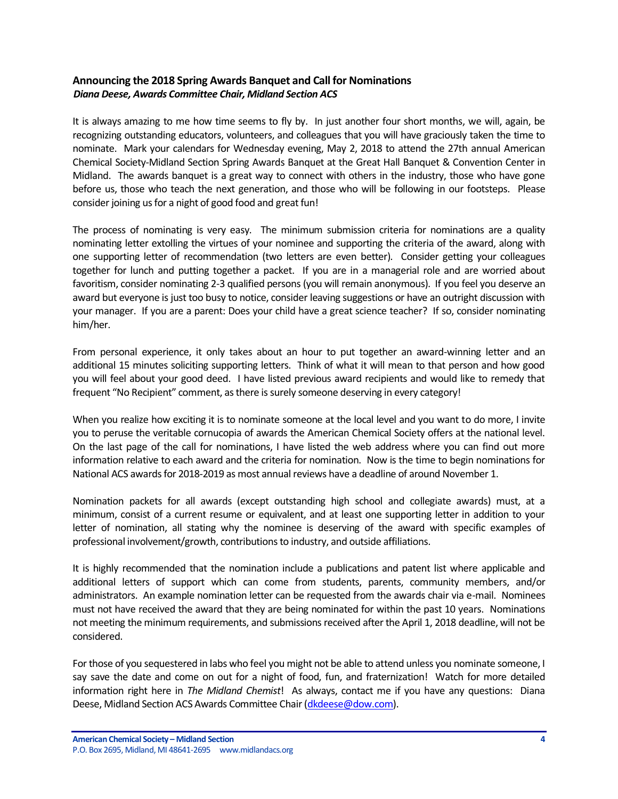# <span id="page-3-0"></span>**Announcing the 2018 Spring Awards Banquet and Call for Nominations** *Diana Deese, Awards Committee Chair, Midland Section ACS*

It is always amazing to me how time seems to fly by. In just another four short months, we will, again, be recognizing outstanding educators, volunteers, and colleagues that you will have graciously taken the time to nominate. Mark your calendars for Wednesday evening, May 2, 2018 to attend the 27th annual American Chemical Society-Midland Section Spring Awards Banquet at the Great Hall Banquet & Convention Center in Midland. The awards banquet is a great way to connect with others in the industry, those who have gone before us, those who teach the next generation, and those who will be following in our footsteps. Please consider joining us for a night of good food and great fun!

The process of nominating is very easy. The minimum submission criteria for nominations are a quality nominating letter extolling the virtues of your nominee and supporting the criteria of the award, along with one supporting letter of recommendation (two letters are even better). Consider getting your colleagues together for lunch and putting together a packet. If you are in a managerial role and are worried about favoritism, consider nominating 2-3 qualified persons (you will remain anonymous). If you feel you deserve an award but everyone is just too busy to notice, consider leaving suggestions or have an outright discussion with your manager. If you are a parent: Does your child have a great science teacher? If so, consider nominating him/her.

From personal experience, it only takes about an hour to put together an award-winning letter and an additional 15 minutes soliciting supporting letters. Think of what it will mean to that person and how good you will feel about your good deed. I have listed previous award recipients and would like to remedy that frequent "No Recipient" comment, as there is surely someone deserving in every category!

When you realize how exciting it is to nominate someone at the local level and you want to do more, I invite you to peruse the veritable cornucopia of awards the American Chemical Society offers at the national level. On the last page of the call for nominations, I have listed the web address where you can find out more information relative to each award and the criteria for nomination. Now is the time to begin nominations for National ACS awards for 2018-2019 as most annual reviews have a deadline of around November 1.

Nomination packets for all awards (except outstanding high school and collegiate awards) must, at a minimum, consist of a current resume or equivalent, and at least one supporting letter in addition to your letter of nomination, all stating why the nominee is deserving of the award with specific examples of professional involvement/growth, contributions to industry, and outside affiliations.

It is highly recommended that the nomination include a publications and patent list where applicable and additional letters of support which can come from students, parents, community members, and/or administrators. An example nomination letter can be requested from the awards chair via e-mail. Nominees must not have received the award that they are being nominated for within the past 10 years. Nominations not meeting the minimum requirements, and submissions received after the April 1, 2018 deadline, will not be considered.

For those of you sequestered in labs who feel you might not be able to attend unless you nominate someone, I say save the date and come on out for a night of food, fun, and fraternization! Watch for more detailed information right here in *The Midland Chemist*! As always, contact me if you have any questions: Diana Deese, Midland Section ACS Awards Committee Chair [\(dkdeese@dow.com\)](mailto:dkdeese@dow.com).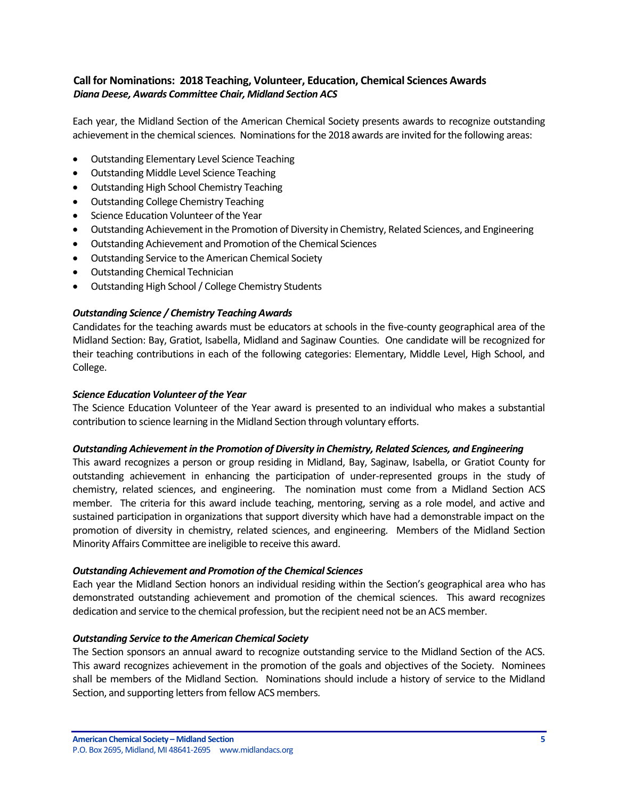# <span id="page-4-0"></span>**Call for Nominations: 2018 Teaching, Volunteer, Education, Chemical Sciences Awards** *Diana Deese, Awards Committee Chair, Midland Section ACS*

Each year, the Midland Section of the American Chemical Society presents awards to recognize outstanding achievement in the chemical sciences. Nominations for the 2018 awards are invited for the following areas:

- Outstanding Elementary Level Science Teaching
- Outstanding Middle Level Science Teaching
- Outstanding High School Chemistry Teaching
- Outstanding College Chemistry Teaching
- Science Education Volunteer of the Year
- Outstanding Achievement in the Promotion of Diversity in Chemistry, Related Sciences, and Engineering
- Outstanding Achievement and Promotion of the Chemical Sciences
- Outstanding Service to the American Chemical Society
- Outstanding Chemical Technician
- Outstanding High School / College Chemistry Students

## *Outstanding Science / Chemistry Teaching Awards*

Candidates for the teaching awards must be educators at schools in the five-county geographical area of the Midland Section: Bay, Gratiot, Isabella, Midland and Saginaw Counties. One candidate will be recognized for their teaching contributions in each of the following categories: Elementary, Middle Level, High School, and College.

## *Science Education Volunteer of the Year*

The Science Education Volunteer of the Year award is presented to an individual who makes a substantial contribution to science learning in the Midland Section through voluntary efforts.

## *Outstanding Achievement in the Promotion of Diversity in Chemistry, Related Sciences, and Engineering*

This award recognizes a person or group residing in Midland, Bay, Saginaw, Isabella, or Gratiot County for outstanding achievement in enhancing the participation of under-represented groups in the study of chemistry, related sciences, and engineering. The nomination must come from a Midland Section ACS member. The criteria for this award include teaching, mentoring, serving as a role model, and active and sustained participation in organizations that support diversity which have had a demonstrable impact on the promotion of diversity in chemistry, related sciences, and engineering. Members of the Midland Section Minority Affairs Committee are ineligible to receive this award.

## *Outstanding Achievement and Promotion of the Chemical Sciences*

Each year the Midland Section honors an individual residing within the Section's geographical area who has demonstrated outstanding achievement and promotion of the chemical sciences. This award recognizes dedication and service to the chemical profession, but the recipient need not be an ACS member.

## *Outstanding Service to the American Chemical Society*

The Section sponsors an annual award to recognize outstanding service to the Midland Section of the ACS. This award recognizes achievement in the promotion of the goals and objectives of the Society. Nominees shall be members of the Midland Section. Nominations should include a history of service to the Midland Section, and supporting letters from fellow ACS members.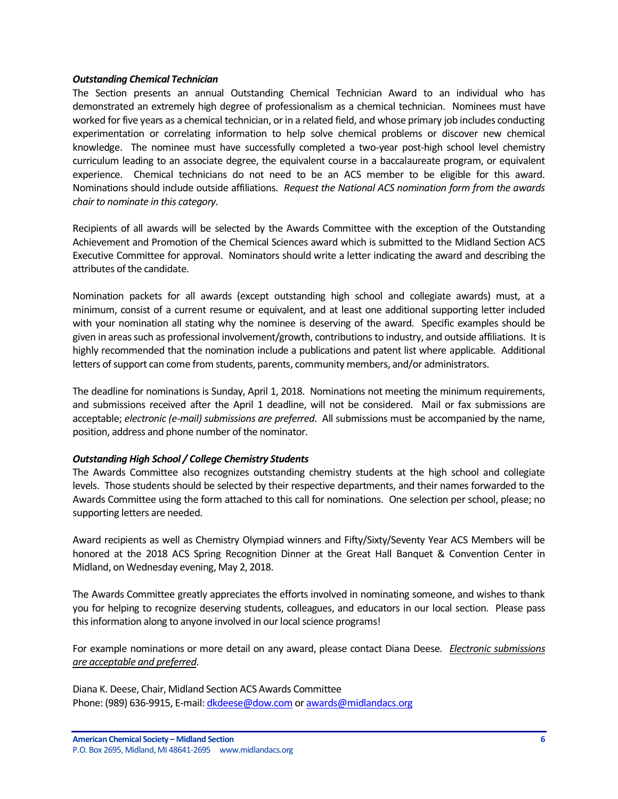## *Outstanding Chemical Technician*

The Section presents an annual Outstanding Chemical Technician Award to an individual who has demonstrated an extremely high degree of professionalism as a chemical technician. Nominees must have worked for five years as a chemical technician, or in a related field, and whose primary job includes conducting experimentation or correlating information to help solve chemical problems or discover new chemical knowledge. The nominee must have successfully completed a two-year post-high school level chemistry curriculum leading to an associate degree, the equivalent course in a baccalaureate program, or equivalent experience. Chemical technicians do not need to be an ACS member to be eligible for this award. Nominations should include outside affiliations. *Request the National ACS nomination form from the awards chair to nominate in this category.*

Recipients of all awards will be selected by the Awards Committee with the exception of the Outstanding Achievement and Promotion of the Chemical Sciences award which is submitted to the Midland Section ACS Executive Committee for approval. Nominators should write a letter indicating the award and describing the attributes of the candidate.

Nomination packets for all awards (except outstanding high school and collegiate awards) must, at a minimum, consist of a current resume or equivalent, and at least one additional supporting letter included with your nomination all stating why the nominee is deserving of the award. Specific examples should be given in areas such as professional involvement/growth, contributions to industry, and outside affiliations. It is highly recommended that the nomination include a publications and patent list where applicable. Additional letters of support can come from students, parents, community members, and/or administrators.

The deadline for nominations is Sunday, April 1, 2018. Nominations not meeting the minimum requirements, and submissions received after the April 1 deadline, will not be considered. Mail or fax submissions are acceptable; *electronic (e-mail) submissions are preferred*. All submissions must be accompanied by the name, position, address and phone number of the nominator.

## *Outstanding High School / College Chemistry Students*

The Awards Committee also recognizes outstanding chemistry students at the high school and collegiate levels. Those students should be selected by their respective departments, and their names forwarded to the Awards Committee using the form attached to this call for nominations. One selection per school, please; no supporting letters are needed.

Award recipients as well as Chemistry Olympiad winners and Fifty/Sixty/Seventy Year ACS Members will be honored at the 2018 ACS Spring Recognition Dinner at the Great Hall Banquet & Convention Center in Midland, on Wednesday evening, May 2, 2018.

The Awards Committee greatly appreciates the efforts involved in nominating someone, and wishes to thank you for helping to recognize deserving students, colleagues, and educators in our local section. Please pass this information along to anyone involved in our local science programs!

For example nominations or more detail on any award, please contact Diana Deese. *Electronic submissions are acceptable and preferred*.

Diana K. Deese, Chair, Midland Section ACS Awards Committee Phone: (989) 636-9915, E-mail[: dkdeese@dow.com](mailto:dkdeese@dow.com) o[r awards@midlandacs.org](mailto:awards@midlandacs.org)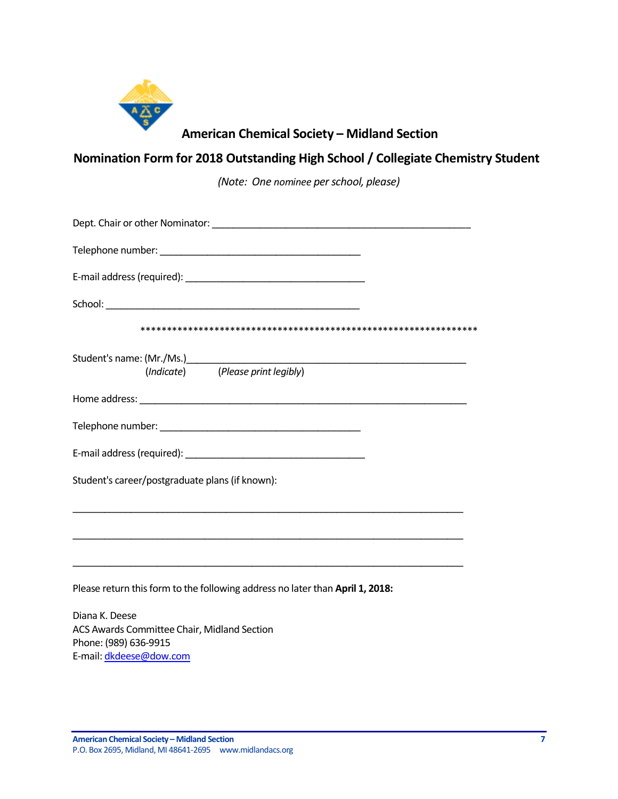

# **American Chemical Society – Midland Section**

# **Nomination Form for 2018 Outstanding High School / Collegiate Chemistry Student**

*(Note: One nominee per school, please)*

| (Indicate) (Please print legibly)                                                      |
|----------------------------------------------------------------------------------------|
|                                                                                        |
|                                                                                        |
|                                                                                        |
| Student's career/postgraduate plans (if known):                                        |
|                                                                                        |
|                                                                                        |
| Please return this form to the following address no later than April 1, 2018:          |
| Diana K. Deese<br>ACS Awards Committee Chair, Midland Section<br>Phone: (989) 636-9915 |

E-mail[: dkdeese@dow.com](mailto:dkdeese@dow.com)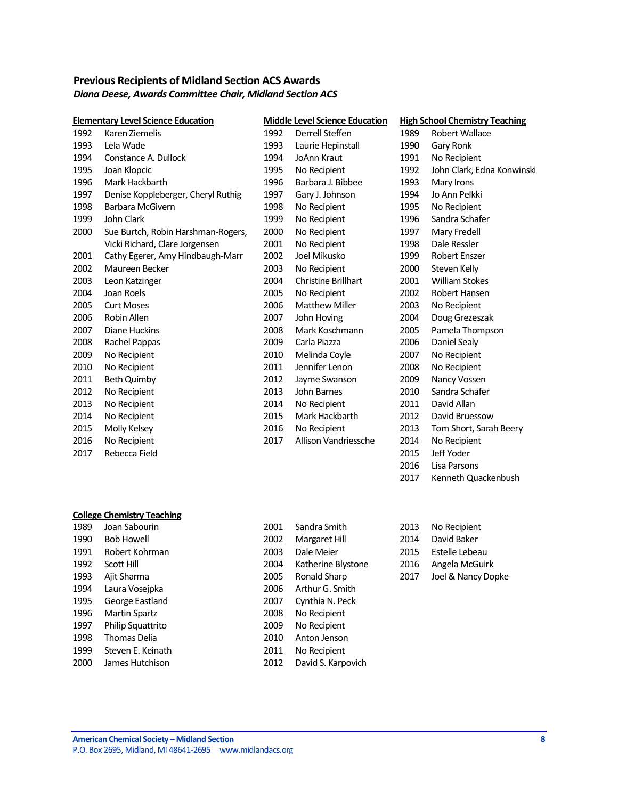# <span id="page-7-0"></span>**Previous Recipients of Midland Section ACS Awards** *Diana Deese, Awards Committee Chair, Midland Section ACS*

|      | <b>Elementary Level Science Education</b> | <b>Middle Level Science Education</b> |                            | <b>High School Chemistry Teaching</b> |                            |  |
|------|-------------------------------------------|---------------------------------------|----------------------------|---------------------------------------|----------------------------|--|
| 1992 | Karen Ziemelis                            | 1992                                  | Derrell Steffen            | 1989                                  | Robert Wallace             |  |
| 1993 | Lela Wade                                 | 1993                                  | Laurie Hepinstall          | 1990                                  | Gary Ronk                  |  |
| 1994 | Constance A. Dullock                      | 1994                                  | <b>JoAnn Kraut</b>         | 1991                                  | No Recipient               |  |
| 1995 | Joan Klopcic                              | 1995                                  | No Recipient               | 1992                                  | John Clark, Edna Konwinski |  |
| 1996 | Mark Hackbarth                            | 1996                                  | Barbara J. Bibbee          | 1993                                  | Mary Irons                 |  |
| 1997 | Denise Koppleberger, Cheryl Ruthig        | 1997                                  | Gary J. Johnson            | 1994                                  | Jo Ann Pelkki              |  |
| 1998 | Barbara McGivern                          | 1998                                  | No Recipient               | 1995                                  | No Recipient               |  |
| 1999 | John Clark                                | 1999                                  | No Recipient               | 1996                                  | Sandra Schafer             |  |
| 2000 | Sue Burtch, Robin Harshman-Rogers,        | 2000                                  | No Recipient               | 1997                                  | Mary Fredell               |  |
|      | Vicki Richard, Clare Jorgensen            | 2001                                  | No Recipient               | 1998                                  | Dale Ressler               |  |
| 2001 | Cathy Egerer, Amy Hindbaugh-Marr          | 2002                                  | Joel Mikusko               | 1999                                  | Robert Enszer              |  |
| 2002 | Maureen Becker                            | 2003                                  | No Recipient               | 2000                                  | Steven Kelly               |  |
| 2003 | Leon Katzinger                            | 2004                                  | <b>Christine Brillhart</b> | 2001                                  | <b>William Stokes</b>      |  |
| 2004 | Joan Roels                                | 2005                                  | No Recipient               | 2002                                  | Robert Hansen              |  |
| 2005 | <b>Curt Moses</b>                         | 2006                                  | <b>Matthew Miller</b>      | 2003                                  | No Recipient               |  |
| 2006 | Robin Allen                               | 2007                                  | John Hoving                | 2004                                  | Doug Grezeszak             |  |
| 2007 | Diane Huckins                             | 2008                                  | Mark Koschmann             | 2005                                  | Pamela Thompson            |  |
| 2008 | Rachel Pappas                             | 2009                                  | Carla Piazza               | 2006                                  | Daniel Sealy               |  |
| 2009 | No Recipient                              | 2010                                  | Melinda Coyle              | 2007                                  | No Recipient               |  |
| 2010 | No Recipient                              | 2011                                  | Jennifer Lenon             | 2008                                  | No Recipient               |  |
| 2011 | <b>Beth Quimby</b>                        | 2012                                  | Jayme Swanson              | 2009                                  | Nancy Vossen               |  |
| 2012 | No Recipient                              | 2013                                  | John Barnes                | 2010                                  | Sandra Schafer             |  |
| 2013 | No Recipient                              | 2014                                  | No Recipient               | 2011                                  | David Allan                |  |
| 2014 | No Recipient                              | 2015                                  | Mark Hackbarth             | 2012                                  | David Bruessow             |  |
| 2015 | Molly Kelsey                              | 2016                                  | No Recipient               | 2013                                  | Tom Short, Sarah Beery     |  |
| 2016 | No Recipient                              | 2017                                  | Allison Vandriessche       | 2014                                  | No Recipient               |  |
| 2017 | Rebecca Field                             |                                       |                            | 2015                                  | Jeff Yoder                 |  |
|      |                                           |                                       |                            | 2016                                  | Lisa Parsons               |  |

## **College Chemistry Teaching**

| 1989 | Joan Sabourin            | 2001 | Sandra Smith       | 2013 | No Recipient    |
|------|--------------------------|------|--------------------|------|-----------------|
| 1990 | <b>Bob Howell</b>        | 2002 | Margaret Hill      | 2014 | David Baker     |
| 1991 | Robert Kohrman           | 2003 | Dale Meier         | 2015 | Estelle Lebeau  |
| 1992 | Scott Hill               | 2004 | Katherine Blystone | 2016 | Angela McGuirk  |
| 1993 | Ajit Sharma              | 2005 | Ronald Sharp       | 2017 | Joel & Nancy Do |
| 1994 | Laura Voseipka           | 2006 | Arthur G. Smith    |      |                 |
| 1995 | George Eastland          | 2007 | Cynthia N. Peck    |      |                 |
| 1996 | <b>Martin Spartz</b>     | 2008 | No Recipient       |      |                 |
| 1997 | <b>Philip Squattrito</b> | 2009 | No Recipient       |      |                 |
| 1998 | Thomas Delia             | 2010 | Anton Jenson       |      |                 |
| 1999 | Steven E. Keinath        | 2011 | No Recipient       |      |                 |
| 2000 | James Hutchison          | 2012 | David S. Karpovich |      |                 |

| 2001 | Sandra Smith       |
|------|--------------------|
| 2002 | Margaret Hill      |
| 2003 | Dale Meier         |
| 2004 | Katherine Blystone |
| 2005 | Ronald Sharp       |
| 2006 | Arthur G. Smith    |
| 2007 | Cynthia N. Peck    |
| 2008 | No Recipient       |
| 2009 | No Recipient       |
| 2010 | Anton Jenson       |
| 2011 | No Recipient       |
| 2012 | David S. Karpovich |

| 2013 | No Recipient          |
|------|-----------------------|
| 2014 | David Baker           |
| 2015 | <b>Estelle Lebeau</b> |
| 2016 | Angela McGuirk        |
| 2017 | Joel & Nancy Dopke    |

Kenneth Quackenbush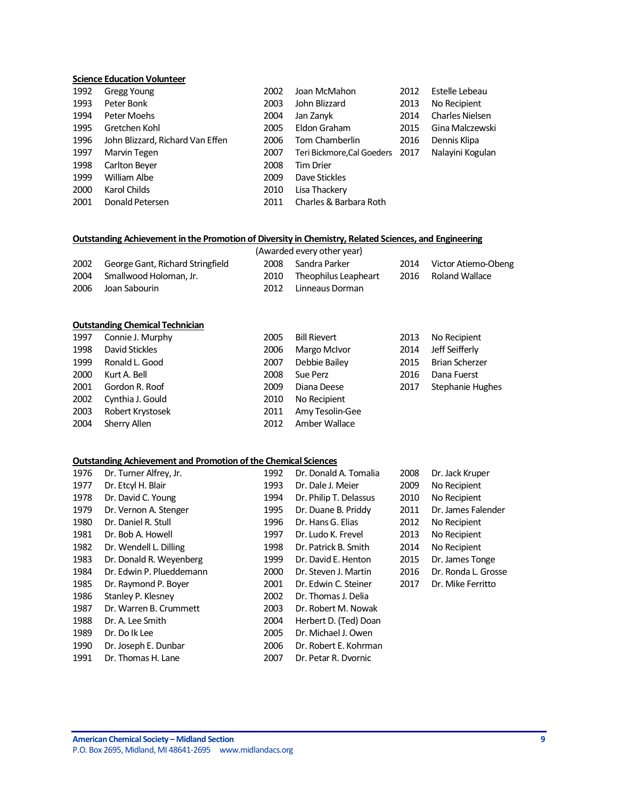## **Science Education Volunteer**

| 1992 | <b>Gregg Young</b>               | 2002 | Joan McMahon                    | 2012 | Estelle Lebeau         |
|------|----------------------------------|------|---------------------------------|------|------------------------|
| 1993 | Peter Bonk                       | 2003 | John Blizzard                   | 2013 | No Recipient           |
| 1994 | Peter Moehs                      | 2004 | Jan Zanyk                       | 2014 | <b>Charles Nielsen</b> |
| 1995 | Gretchen Kohl                    | 2005 | Eldon Graham                    | 2015 | Gina Malczewski        |
| 1996 | John Blizzard, Richard Van Effen | 2006 | Tom Chamberlin                  | 2016 | Dennis Klipa           |
| 1997 | Marvin Tegen                     | 2007 | Teri Bickmore, Cal Goeders 2017 |      | Nalayini Kogulan       |
| 1998 | Carlton Beyer                    | 2008 | Tim Drier                       |      |                        |
| 1999 | William Albe                     | 2009 | Dave Stickles                   |      |                        |
| 2000 | Karol Childs                     | 2010 | Lisa Thackery                   |      |                        |
| 2001 | Donald Petersen                  | 2011 | Charles & Barbara Roth          |      |                        |

## **Outstanding Achievement in the Promotion of Diversity in Chemistry, Related Sciences, and Engineering**

|      |                                  |      | (Awarded every other year) |      |                          |
|------|----------------------------------|------|----------------------------|------|--------------------------|
| 2002 | George Gant, Richard Stringfield |      | 2008 Sandra Parker         |      | 2014 Victor Atiemo-Obeng |
|      | 2004 Smallwood Holoman, Jr.      | 2010 | Theophilus Leapheart       | 2016 | Roland Wallace           |
| 2006 | Joan Sabourin                    |      | 2012 Linneaus Dorman       |      |                          |

#### **Outstanding Chemical Technician**

| 1997 | Connie J. Murphy | 2005 | <b>Bill Rievert</b> | 2013 | No Recipient          |
|------|------------------|------|---------------------|------|-----------------------|
| 1998 | David Stickles   | 2006 | Margo McIvor        | 2014 | Jeff Seifferly        |
| 1999 | Ronald L. Good   | 2007 | Debbie Bailey       | 2015 | <b>Brian Scherzer</b> |
| 2000 | Kurt A. Bell     | 2008 | Sue Perz            | 2016 | Dana Fuerst           |
| 2001 | Gordon R. Roof   | 2009 | Diana Deese         | 2017 | Stephanie Hughes      |
| 2002 | Cynthia J. Gould | 2010 | No Recipient        |      |                       |
| 2003 | Robert Krystosek | 2011 | Amy Tesolin-Gee     |      |                       |
| 2004 | Sherry Allen     | 2012 | Amber Wallace       |      |                       |

#### **Outstanding Achievement and Promotion of the Chemical Sciences**

| 1976 | Dr. Turner Alfrey, Jr.   | 1992 | Dr. Donald A. Tomalia  | 2008 | Dr. Jack Kruper     |
|------|--------------------------|------|------------------------|------|---------------------|
| 1977 | Dr. Etcyl H. Blair       | 1993 | Dr. Dale J. Meier      | 2009 | No Recipient        |
| 1978 | Dr. David C. Young       | 1994 | Dr. Philip T. Delassus | 2010 | No Recipient        |
| 1979 | Dr. Vernon A. Stenger    | 1995 | Dr. Duane B. Priddy    | 2011 | Dr. James Falender  |
| 1980 | Dr. Daniel R. Stull      | 1996 | Dr. Hans G. Elias      | 2012 | No Recipient        |
| 1981 | Dr. Bob A. Howell        | 1997 | Dr. Ludo K. Frevel     | 2013 | No Recipient        |
| 1982 | Dr. Wendell L. Dilling   | 1998 | Dr. Patrick B. Smith   | 2014 | No Recipient        |
| 1983 | Dr. Donald R. Weyenberg  | 1999 | Dr. David E. Henton    | 2015 | Dr. James Tonge     |
| 1984 | Dr. Edwin P. Plueddemann | 2000 | Dr. Steven J. Martin   | 2016 | Dr. Ronda L. Grosse |
| 1985 | Dr. Raymond P. Boyer     | 2001 | Dr. Edwin C. Steiner   | 2017 | Dr. Mike Ferritto   |
| 1986 | Stanley P. Klesney       | 2002 | Dr. Thomas J. Delia    |      |                     |
| 1987 | Dr. Warren B. Crummett   | 2003 | Dr. Robert M. Nowak    |      |                     |
| 1988 | Dr. A. Lee Smith         | 2004 | Herbert D. (Ted) Doan  |      |                     |
| 1989 | Dr. Do lk Lee            | 2005 | Dr. Michael J. Owen    |      |                     |
| 1990 | Dr. Joseph E. Dunbar     | 2006 | Dr. Robert E. Kohrman  |      |                     |
| 1991 | Dr. Thomas H. Lane       | 2007 | Dr. Petar R. Dvornic   |      |                     |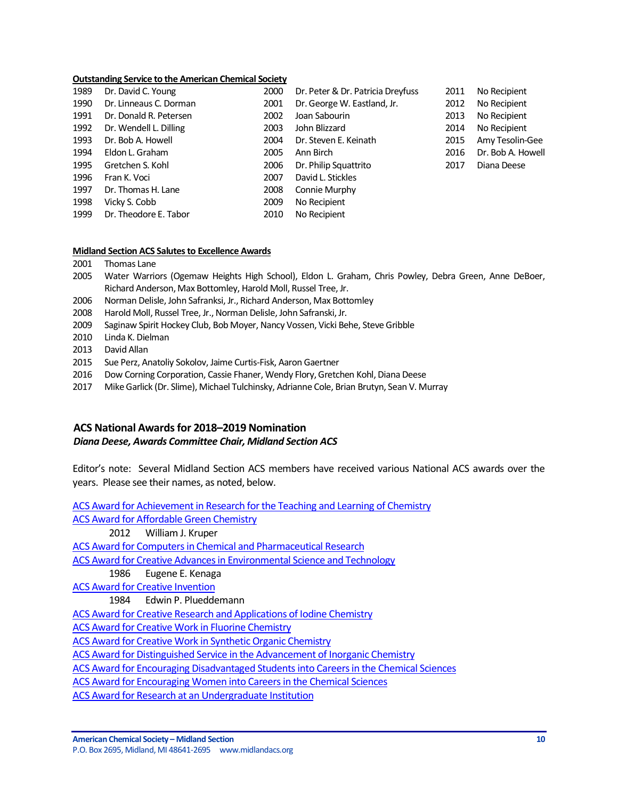#### **Outstanding Service to the American Chemical Society**

| 1989 | Dr. David C. Young     | 2000 | Dr. Peter & Dr. Patricia Dreyfuss | 2011 | No Recipient      |
|------|------------------------|------|-----------------------------------|------|-------------------|
| 1990 | Dr. Linneaus C. Dorman | 2001 | Dr. George W. Eastland, Jr.       | 2012 | No Recipient      |
| 1991 | Dr. Donald R. Petersen | 2002 | Joan Sabourin                     | 2013 | No Recipient      |
| 1992 | Dr. Wendell L. Dilling | 2003 | John Blizzard                     | 2014 | No Recipient      |
| 1993 | Dr. Bob A. Howell      | 2004 | Dr. Steven E. Keinath             | 2015 | Amy Tesolin-Gee   |
| 1994 | Eldon L. Graham        | 2005 | Ann Birch                         | 2016 | Dr. Bob A. Howell |
| 1995 | Gretchen S. Kohl       | 2006 | Dr. Philip Squattrito             | 2017 | Diana Deese       |
| 1996 | Fran K. Voci           | 2007 | David L. Stickles                 |      |                   |
| 1997 | Dr. Thomas H. Lane     | 2008 | Connie Murphy                     |      |                   |
| 1998 | Vicky S. Cobb          | 2009 | No Recipient                      |      |                   |
| 1999 | Dr. Theodore E. Tabor  | 2010 | No Recipient                      |      |                   |

#### **Midland Section ACS Salutes to Excellence Awards**

- 2001 Thomas Lane
- 2005 Water Warriors (Ogemaw Heights High School), Eldon L. Graham, Chris Powley, Debra Green, Anne DeBoer, Richard Anderson, Max Bottomley, Harold Moll, Russel Tree, Jr.
- 2006 Norman Delisle, John Safranksi, Jr., Richard Anderson, Max Bottomley
- 2008 Harold Moll, Russel Tree, Jr., Norman Delisle, John Safranski, Jr.
- 2009 Saginaw Spirit Hockey Club, Bob Moyer, Nancy Vossen, Vicki Behe, Steve Gribble
- 2010 Linda K. Dielman
- 2013 David Allan
- 2015 Sue Perz, Anatoliy Sokolov, Jaime Curtis-Fisk, Aaron Gaertner
- 2016 Dow Corning Corporation, Cassie Fhaner, Wendy Flory, Gretchen Kohl, Diana Deese
- 2017 Mike Garlick (Dr. Slime), Michael Tulchinsky, Adrianne Cole, Brian Brutyn, Sean V. Murray

## <span id="page-9-0"></span>**ACS National Awardsfor 2018–2019 Nomination**

## *Diana Deese, Awards Committee Chair, Midland Section ACS*

Editor's note: Several Midland Section ACS members have received various National ACS awards over the years. Please see their names, as noted, below.

[ACS Award for Achievement in Research for the Teaching and Learning of Chemistry](http://www.acs.org/content/acs/en/funding-and-awards/awards/national/bytopic/acs-award-for-achievement-in-research-for-the-teaching-and-learning-of-chemistry.html) [ACS Award for Affordable Green Chemistry](http://www.acs.org/content/acs/en/funding-and-awards/awards/national/bytopic/acs-award-for-affordable-green-chemistry.html) 2012 William J. Kruper

[ACS Award for Computers in Chemical and Pharmaceutical Research](http://www.acs.org/content/acs/en/funding-and-awards/awards/national/bytopic/acs-award-for-computers-in-chemical-and-pharmaceutical-research.html)

[ACS Award for Creative Advances in Environmental Science and Technology](http://www.acs.org/content/acs/en/funding-and-awards/awards/national/bytopic/acs-award-for-creative-advances-in-environmental-science-and-technology.html)

1986 Eugene E. Kenaga

[ACS Award for Creative Invention](http://www.acs.org/content/acs/en/funding-and-awards/awards/national/bytopic/acs-award-for-creative-invention.html)

1984 Edwin P. Plueddemann

[ACS Award for Creative Research and Applications of Iodine Chemistry](http://www.acs.org/content/acs/en/funding-and-awards/awards/national/bytopic/acs-award-for-creative-research-and-applications-of-iodine-chemistry.html)

[ACS Award for Creative Work in Fluorine Chemistry](http://www.acs.org/content/acs/en/funding-and-awards/awards/national/bytopic/acs-award-for-creative-work-in-fluorine-chemistry.html)

[ACS Award for Creative Work in Synthetic Organic Chemistry](http://www.acs.org/content/acs/en/funding-and-awards/awards/national/bytopic/acs-award-for-creative-work-in-synthetic-organic-chemistry.html)

[ACS Award for Distinguished Service in the Advancement of Inorganic Chemistry](http://www.acs.org/content/acs/en/funding-and-awards/awards/national/bytopic/acs-award-for-distinguished-service-in-the-advancement-of-lnorganic-chemistry.html)

[ACS Award for Encouraging Disadvantaged Students into Careers in the Chemical Sciences](http://www.acs.org/content/acs/en/funding-and-awards/awards/national/bytopic/acs-award-for-encouraging-disadvantaged-students-into-careers-in-the-chemical-sciences.html)

[ACS Award for Encouraging Women into Careers in the Chemical Sciences](http://www.acs.org/content/acs/en/funding-and-awards/awards/national/bytopic/acs-award-for-encouraging-women-into-careers-in-the-chemical-sciences.html)

[ACS Award for Research at an Undergraduate Institution](http://www.acs.org/content/acs/en/funding-and-awards/awards/national/bytopic/acs-award-for-research-at-an-undergraduate-institution.html)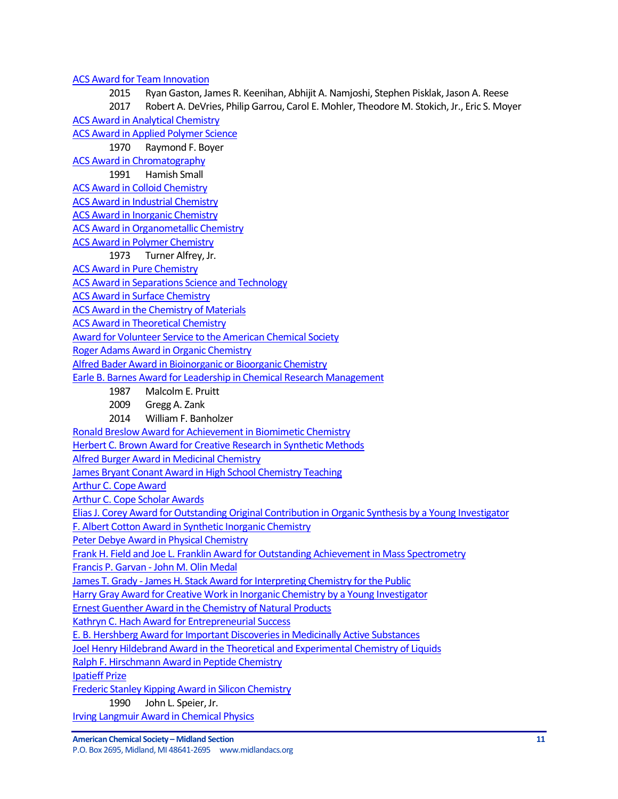## [ACS Award for Team Innovation](http://www.acs.org/content/acs/en/funding-and-awards/awards/national/bytopic/acs-award-for-team-innovation.html)

2015 Ryan Gaston, James R. Keenihan, Abhijit A. Namjoshi, Stephen Pisklak, Jason A. Reese 2017 Robert A. DeVries, Philip Garrou, Carol E. Mohler, Theodore M. Stokich, Jr., Eric S. Moyer [ACS Award in Analytical Chemistry](http://www.acs.org/content/acs/en/funding-and-awards/awards/national/bytopic/acs-award-in-analytical-chemistry.html)

[ACS Award in Applied Polymer Science](http://www.acs.org/content/acs/en/funding-and-awards/awards/national/bytopic/acs-award-in-applied-polymer-science.html)

1970 Raymond F. Boyer

[ACS Award in Chromatography](http://www.acs.org/content/acs/en/funding-and-awards/awards/national/bytopic/acs-award-in-chromatography.html)

1991 Hamish Small

[ACS Award in Colloid Chemistry](http://www.acs.org/content/acs/en/funding-and-awards/awards/national/bytopic/acs-award-in-colloid-chemistry.html)

[ACS Award in Industrial Chemistry](http://www.acs.org/content/acs/en/funding-and-awards/awards/national/bytopic/acs-award-in-industrial-chemistry.html)

[ACS Award in Inorganic Chemistry](http://www.acs.org/content/acs/en/funding-and-awards/awards/national/bytopic/acs-award-in-inorganic-chemistry.html)

[ACS Award in Organometallic Chemistry](http://www.acs.org/content/acs/en/funding-and-awards/awards/national/bytopic/acs-award-in-organometallic-chemistry.html)

[ACS Award in Polymer Chemistry](http://www.acs.org/content/acs/en/funding-and-awards/awards/national/bytopic/acs-award-in-polymer-chemistry.html)

1973 Turner Alfrey, Jr.

[ACS Award in Pure Chemistry](http://www.acs.org/content/acs/en/funding-and-awards/awards/national/bytopic/acs-award-in-pure-chemistry.html)

[ACS Award in Separations Science and Technology](http://www.acs.org/content/acs/en/funding-and-awards/awards/national/bytopic/acs-award-in-separations-science-and-technology.html)

[ACS Award in Surface Chemistry](http://www.acs.org/content/acs/en/funding-and-awards/awards/national/bytopic/acs-award-in-surface-chemistry.html)

[ACS Award in the Chemistry of Materials](http://www.acs.org/content/acs/en/funding-and-awards/awards/national/bytopic/acs-award-in-the-chemistry-of-materials.html)

[ACS Award in Theoretical Chemistry](http://www.acs.org/content/acs/en/funding-and-awards/awards/national/bytopic/acs-award-in-theoretical-chemistry.html)

[Award for Volunteer Service to the American Chemical Society](http://www.acs.org/content/acs/en/funding-and-awards/awards/national/bytopic/award-for-volunteer-service-to-the-american-chemical-society.html)

[Roger Adams Award in Organic Chemistry](http://www.acs.org/content/acs/en/funding-and-awards/awards/national/bytopic/roger-adams-award-in-organic-chemistry.html)

[Alfred Bader Award in Bioinorganic or Bioorganic Chemistry](http://www.acs.org/content/acs/en/funding-and-awards/awards/national/bytopic/alfred-bader-award-in-bioinorganic-or-bioorganic-chemistry.html)

[Earle B. Barnes Award for Leadership in Chemical Research Management](http://www.acs.org/content/acs/en/funding-and-awards/awards/national/bytopic/earle-b-barnes-award-for-leadership-in-chemical-research-management.html)

- 1987 Malcolm E. Pruitt
- 2009 Gregg A. Zank
- 2014 William F. Banholzer

[Ronald Breslow Award for Achievement in Biomimetic Chemistry](http://www.acs.org/content/acs/en/funding-and-awards/awards/national/bytopic/ronald-breslow-award-for-achievement-in-biomimetic-chemistry.html)

[Herbert C. Brown Award for Creative Research in Synthetic Methods](http://www.acs.org/content/acs/en/funding-and-awards/awards/national/bytopic/herbert-c-brown-award-for-creative-research-in-synthetic-methods.html)

[Alfred Burger Award in Medicinal Chemistry](https://www.acs.org/content/acs/en/funding-and-awards/awards/national/bytopic/alfred-burger-award-in-medicinal-chemistry.html?_ga=1.126276233.525249293.1483657158)

[James Bryant Conant Award in High School Chemistry Teaching](http://www.acs.org/content/acs/en/funding-and-awards/awards/national/bytopic/james-bryant-conant-award-in-high-school-chemistry-teaching.html)

[Arthur C. Cope Award](http://www.acs.org/content/acs/en/funding-and-awards/awards/national/bytopic/arthur-c-cope-award.html)

[Arthur C. Cope Scholar Awards](https://www.acs.org/content/acs/en/funding-and-awards/awards/national/bytopic/arthur-cope-scholar-award.html?_ga=1.41640802.1585534025.1483717018)

[Elias J. Corey Award for Outstanding Original Contribution in Organic Synthesis by a Young Investigator](http://www.acs.org/content/acs/en/funding-and-awards/awards/national/bytopic/elias-j-corey-award-for-outstanding-original-contribution-in-organic-synthesis-by-a-young-investigator.html)

[F. Albert Cotton Award in Synthetic Inorganic Chemistry](http://www.acs.org/content/acs/en/funding-and-awards/awards/national/bytopic/f-albert-cotton-award-in-synthetic-inorganic-chemistry.html)

[Peter Debye Award in Physical Chemistry](http://www.acs.org/content/acs/en/funding-and-awards/awards/national/bytopic/peter-debye-award-in-physical-chemistry.html)

[Frank H. Field and Joe L. Franklin Award for Outstanding Achievement in Mass Spectrometry](http://www.acs.org/content/acs/en/funding-and-awards/awards/national/bytopic/frank-h-field-and-joe-l-franklin-award-for-outstanding-achievement-in-mass-spectrometry.html)

Francis P. Garvan - [John M. Olin Medal](http://www.acs.org/content/acs/en/funding-and-awards/awards/national/bytopic/francis-p-garvan-john-m-olin-medal.html)

James T. Grady - [James H. Stack Award for Interpreting Chemistry for the Public](http://www.acs.org/content/acs/en/funding-and-awards/awards/national/bytopic/james-t-grady-james-h-stack-award-for-interpreting-chemistry-for-the-public.html)

[Harry Gray Award for Creative Work in Inorganic Chemistry by a Young Investigator](http://www.acs.org/content/acs/en/funding-and-awards/awards/national/bytopic/harry-gray-award-for-creative-work-in-inorganic-chemistry-by-a-y.html)

[Ernest Guenther Award in the Chemistry of Natural Products](http://www.acs.org/content/acs/en/funding-and-awards/awards/national/bytopic/ernest-guenther-award-in-the-chemistry-of-natural-products.html)

[Kathryn C. Hach Award for Entrepreneurial Success](http://www.acs.org/content/acs/en/funding-and-awards/awards/national/bytopic/entrepreneurial-success.html)

[E. B. Hershberg Award for Important Discoveries in Medicinally Active Substances](http://www.acs.org/content/acs/en/funding-and-awards/awards/national/bytopic/e-b-hershberg-award-for-important-discoveries-in-medicinally-active-substances.html)

[Joel Henry Hildebrand Award in the Theoretical and Experimental Chemistry](http://www.acs.org/content/acs/en/funding-and-awards/awards/national/bytopic/joel-henry-hildebrand-award-in-the-theoretical-and-experimental-chemistry-of-liquids.html) of Liquids

[Ralph F. Hirschmann Award in Peptide Chemistry](https://www.acs.org/content/acs/en/funding-and-awards/awards/national/bytopic/ralph-f-hirschmann-award-in-peptide-chemistry.html?_ga=1.155637183.525249293.1483657158)

[Ipatieff Prize](https://www.acs.org/content/acs/en/funding-and-awards/awards/national/bytopic/ipatieff-prize.html?_ga=1.155637183.525249293.1483657158)

[Frederic Stanley Kipping Award in Silicon Chemistry](http://www.acs.org/content/acs/en/funding-and-awards/awards/national/bytopic/frederic-stanley-kipping-award-in-silicon-chemistry.html)

1990 John L. Speier, Jr.

[Irving Langmuir Award in Chemical Physics](https://www.acs.org/content/acs/en/funding-and-awards/awards/national/bytopic/irving-langmuir-award-in-chemical-physics.html?_ga=1.61816104.525249293.1483657158)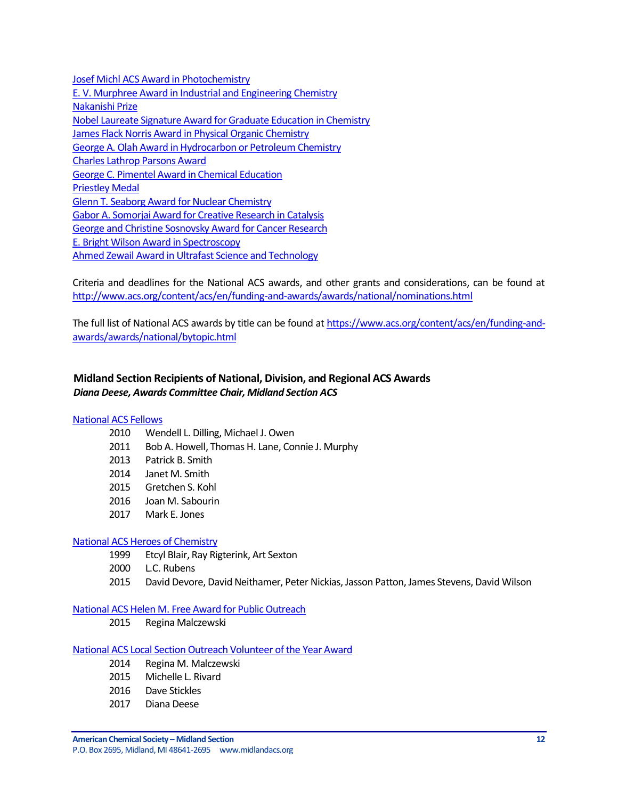[Josef Michl ACS Award in Photochemistry](https://www.acs.org/content/acs/en/funding-and-awards/awards/national/bytopic/josef-michl-acs-award-in-photochemistry.html?cq_ck=1404230027376&_ga=1.268382858.525249293.1483657158) [E. V. Murphree Award in Industrial and Engineering Chemistry](http://www.acs.org/content/acs/en/funding-and-awards/awards/national/bytopic/e-v-murphree-award-in-industrial-and-engineering-chemistry.html) [Nakanishi Prize](http://www.acs.org/content/acs/en/funding-and-awards/awards/national/bytopic/nakanishi-prize.html) [Nobel Laureate Signature Award for Graduate Education in Chemistry](http://www.acs.org/content/acs/en/funding-and-awards/awards/national/bytopic/nobel-laureate-signature-award-for-graduate-education-in-chemistry.html) [James Flack Norris Award in Physical Organic Chemistry](http://www.acs.org/content/acs/en/funding-and-awards/awards/national/bytopic/james-flack-norris-award-in-physical-organic-chemistry.html) George A. Olah [Award in Hydrocarbon or Petroleum Chemistry](http://www.acs.org/content/acs/en/funding-and-awards/awards/national/bytopic/george-a-olah-award-in-hydrocarbon-or-petroleum-chemistry.html) [Charles Lathrop Parsons Award](http://www.acs.org/content/acs/en/funding-and-awards/awards/national/bytopic/charles-lathrop-parsons-award.html) [George C. Pimentel Award in Chemical Education](http://www.acs.org/content/acs/en/funding-and-awards/awards/national/bytopic/george-c-pimentel-award-in-chemical-education.html) [Priestley Medal](http://www.acs.org/content/acs/en/funding-and-awards/awards/national/bytopic/priestley-medal.html) [Glenn T. Seaborg Award for Nuclear Chemistry](http://www.acs.org/content/acs/en/funding-and-awards/awards/national/bytopic/glenn-t-seaborg-award-for-nuclear-chemistry.html) [Gabor A. Somorjai Award for Creative Research in Catalysis](http://www.acs.org/content/acs/en/funding-and-awards/awards/national/bytopic/gabor-a-somorjai-award-for-creative-research-in-catalysis.html) [George and Christine Sosnovsky Award for Cancer Research](http://www.acs.org/content/acs/en/funding-and-awards/awards/national/bytopic/the-george-and-christine-sosnovsky-award-for-cancer-research.html) [E. Bright Wilson Award in Spectroscopy](http://www.acs.org/content/acs/en/funding-and-awards/awards/national/bytopic/e-bright-wilson-award-in-spectroscopy.html) [Ahmed Zewail Award in Ultrafast Science and Technology](http://www.acs.org/content/acs/en/funding-and-awards/awards/national/bytopic/the-ahmed-zewail-award-in-ultrafast-science-and-technology.html)

Criteria and deadlines for the National ACS awards, and other grants and considerations, can be found at <http://www.acs.org/content/acs/en/funding-and-awards/awards/national/nominations.html>

The full list of National ACS awards by title can be found at [https://www.acs.org/content/acs/en/funding-and](https://www.acs.org/content/acs/en/funding-and-awards/awards/national/bytopic.html)[awards/awards/national/bytopic.html](https://www.acs.org/content/acs/en/funding-and-awards/awards/national/bytopic.html)

# <span id="page-11-0"></span>**Midland Section Recipients of National, Division, and Regional ACS Awards** *Diana Deese, Awards Committee Chair, Midland Section ACS*

## [National ACS Fellows](https://www.acs.org/content/acs/en/funding-and-awards/fellows.html?_ga=1.101250693.525249293.1483657158)

- 2010 Wendell L. Dilling, Michael J. Owen
- 2011 Bob A. Howell, Thomas H. Lane, Connie J. Murphy
- 2013 Patrick B. Smith
- 2014 Janet M. Smith
- 2015 Gretchen S. Kohl
- 2016 Joan M. Sabourin
- 2017 Mark E. Jones

#### [National ACS Heroes of Chemistry](https://www.acs.org/content/acs/en/funding-and-awards/awards/industry/heroes.html)

- 1999 Etcyl Blair, Ray Rigterink, Art Sexton
- 2000 L.C. Rubens
- 2015 David Devore, David Neithamer, Peter Nickias, Jasson Patton, James Stevens, David Wilson

## [National ACS Helen M. Free Award for Public Outreach](https://www.acs.org/content/acs/en/funding-and-awards/awards/other/public/helenmfreeawardforpublicoutreach.html?_ga=1.102306181.525249293.1483657158)

2015 Regina Malczewski

#### [National ACS Local Section Outreach Volunteer of the Year Award](https://www.acs.org/content/acs/en/membership-and-networks/ls/grantsawards/local-section-outreach-volunteers.html?_ga=1.163659451.525249293.1483657158)

- 2014 Regina M. Malczewski
- 2015 Michelle L. Rivard
- 2016 Dave Stickles
- 2017 Diana Deese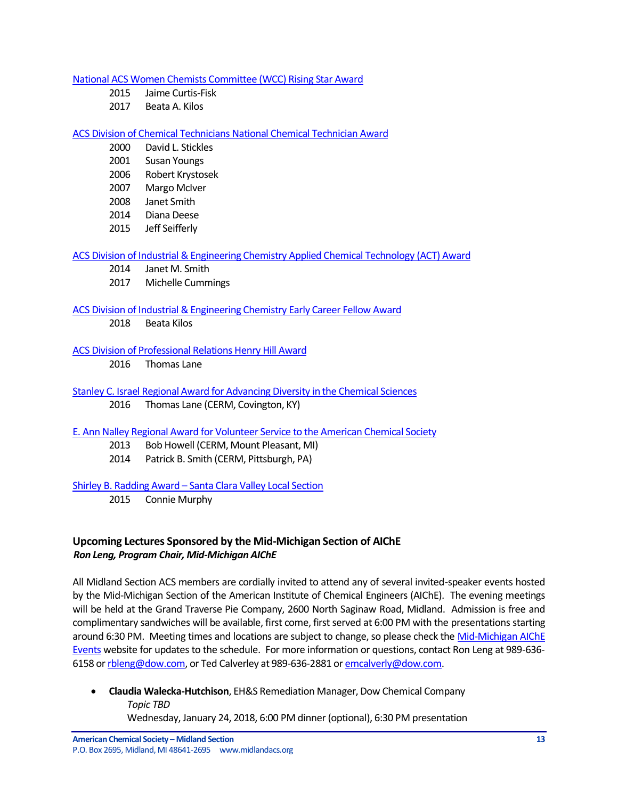[National ACS Women Chemists Committee \(WCC\) Rising Star Award](https://www.acs.org/content/acs/en/funding-and-awards/awards/other/diversity/wcc-rising-star-award.html)

- 2015 Jaime Curtis-Fisk
- 2017 Beata A. Kilos

## [ACS Division of Chemical Technicians National Chemical Technician Award](https://www.acs.org/content/acs/en/funding-and-awards/awards/division/technicians/national-chemical-technician-award.html)

- 2000 David L. Stickles
- 2001 Susan Youngs
- 2006 Robert Krystosek
- 2007 Margo McIver
- 2008 Janet Smith
- 2014 Diana Deese
- 2015 Jeff Seifferly

[ACS Division of Industrial & Engineering Chemistry Applied Chemical Technology \(ACT\) Award](http://iecdivision.sites.acs.org/)

- 2014 Janet M. Smith
- 2017 Michelle Cummings

## [ACS Division of Industrial & Engineering Chemistry Early Career Fellow Award](http://iecdivision.sites.acs.org/)

2018 Beata Kilos

## [ACS Division of Professional Relations Henry Hill Award](https://www.acs.org/content/acs/en/funding-and-awards/awards/division/professionalrelations/prof-henry-hill-award.html)

2016 Thomas Lane

- [Stanley C. Israel Regional Award for Advancing Diversity in the Chemical Sciences](https://www.acs.org/content/acs/en/funding-and-awards/awards/other/diversity/stan-israel-award.html?_ga=1.122460559.525249293.1483657158)
	- 2016 Thomas Lane (CERM, Covington, KY)

## [E. Ann Nalley Regional Award for Volunteer Service to the American Chemical Society](https://www.acs.org/content/acs/en/funding-and-awards/awards/regional/e-ann-nalley-regional-award-for-volunteer-service-to-the-american-chemical-society.html?_ga=1.58725929.525249293.1483657158)

- 2013 Bob Howell (CERM, Mount Pleasant, MI)
- 2014 Patrick B. Smith (CERM, Pittsburgh, PA)

## Shirley B. Radding Award – [Santa Clara Valley Local Section](https://www.acs.org/content/acs/en/funding-and-awards/awards/acs-local-section-awards/awards-santa-clara-valley/santa-clara-shirley-b-radding-award.html)

2015 Connie Murphy

# <span id="page-12-0"></span>**Upcoming Lectures Sponsored by the Mid-Michigan Section of AIChE** *Ron Leng, Program Chair, Mid-Michigan AIChE*

All Midland Section ACS members are cordially invited to attend any of several invited-speaker events hosted by the Mid-Michigan Section of the American Institute of Chemical Engineers (AIChE). The evening meetings will be held at the Grand Traverse Pie Company, 2600 North Saginaw Road, Midland. Admission is free and complimentary sandwiches will be available, first come, first served at 6:00 PM with the presentations starting around 6:30 PM. Meeting times and locations are subject to change, so please check the Mid-Michigan AIChE [Events](https://www.aiche.org/community/sites/local-sections/mid-michigan/events) website for updates to the schedule. For more information or questions, contact Ron Leng at 989-636 6158 or [rbleng@dow.com,](mailto:rbleng@dow.com) or Ted Calverley at 989-636-2881 or [emcalverly@dow.com.](mailto:emcalverly@dow.com)

 **Claudia Walecka-Hutchison**, EH&S Remediation Manager, Dow Chemical Company *Topic TBD* Wednesday, January 24, 2018, 6:00 PM dinner (optional), 6:30 PM presentation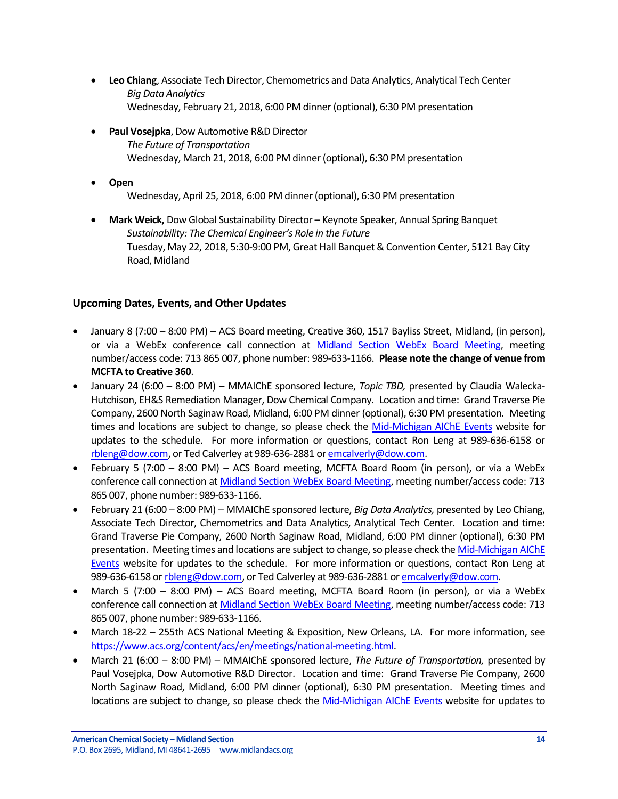- **Leo Chiang**, Associate Tech Director, Chemometrics and Data Analytics, Analytical Tech Center *Big Data Analytics* Wednesday, February 21, 2018, 6:00 PM dinner (optional), 6:30 PM presentation
- **Paul Vosejpka**, Dow Automotive R&D Director *The Future of Transportation* Wednesday, March 21, 2018, 6:00 PM dinner (optional), 6:30 PM presentation
- **Open**

Wednesday, April 25, 2018, 6:00 PM dinner (optional), 6:30 PM presentation

 **Mark Weick,** Dow Global Sustainability Director – Keynote Speaker, Annual Spring Banquet *Sustainability: The Chemical Engineer's Role in the Future* Tuesday, May 22, 2018, 5:30-9:00 PM, Great Hall Banquet & Convention Center, 5121 Bay City Road, Midland

# <span id="page-13-0"></span>**Upcoming Dates, Events, and Other Updates**

- January 8 (7:00 8:00 PM) ACS Board meeting, Creative 360, 1517 Bayliss Street, Midland, (in person), or via a WebEx conference call connection at [Midland Section WebEx Board Meeting,](https://dow.webex.com/dow/j.php?MTID=me8747183bc9859c1ef5a94699654f410) meeting number/access code: 713 865 007, phone number: 989-633-1166. **Please note the change of venue from MCFTA to Creative 360**.
- January 24 (6:00 8:00 PM) MMAIChE sponsored lecture, *Topic TBD,* presented by Claudia Walecka-Hutchison, EH&S Remediation Manager, Dow Chemical Company. Location and time: Grand Traverse Pie Company, 2600 North Saginaw Road, Midland, 6:00 PM dinner (optional), 6:30 PM presentation. Meeting times and locations are subject to change, so please check the [Mid-Michigan AIChE Events](https://www.aiche.org/community/sites/local-sections/mid-michigan/events) website for updates to the schedule. For more information or questions, contact Ron Leng at 989-636-6158 or [rbleng@dow.com,](mailto:rbleng@dow.com) or Ted Calverley at 989-636-2881 o[r emcalverly@dow.com.](mailto:emcalverly@dow.com)
- February 5 (7:00 8:00 PM) ACS Board meeting, MCFTA Board Room (in person), or via a WebEx conference call connection at [Midland Section WebEx Board Meeting,](https://dow.webex.com/dow/j.php?MTID=me8747183bc9859c1ef5a94699654f410) meeting number/access code: 713 865 007, phone number: 989-633-1166.
- February 21 (6:00 8:00 PM) MMAIChE sponsored lecture, *Big Data Analytics,* presented by Leo Chiang, Associate Tech Director, Chemometrics and Data Analytics, Analytical Tech Center. Location and time: Grand Traverse Pie Company, 2600 North Saginaw Road, Midland, 6:00 PM dinner (optional), 6:30 PM presentation. Meeting times and locations are subject to change, so please check th[e Mid-Michigan AIChE](https://www.aiche.org/community/sites/local-sections/mid-michigan/events)  [Events](https://www.aiche.org/community/sites/local-sections/mid-michigan/events) website for updates to the schedule. For more information or questions, contact Ron Leng at 989-636-6158 or [rbleng@dow.com,](mailto:rbleng@dow.com) or Ted Calverley at 989-636-2881 o[r emcalverly@dow.com.](mailto:emcalverly@dow.com)
- March 5 (7:00 8:00 PM) ACS Board meeting, MCFTA Board Room (in person), or via a WebEx conference call connection at [Midland Section WebEx Board Meeting,](https://dow.webex.com/dow/j.php?MTID=me8747183bc9859c1ef5a94699654f410) meeting number/access code: 713 865 007, phone number: 989-633-1166.
- March 18-22 255th ACS National Meeting & Exposition, New Orleans, LA. For more information, see [https://www.acs.org/content/acs/en/meetings/national-meeting.html.](https://www.acs.org/content/acs/en/meetings/national-meeting.html)
- March 21 (6:00 8:00 PM) MMAIChE sponsored lecture, *The Future of Transportation,* presented by Paul Vosejpka, Dow Automotive R&D Director. Location and time: Grand Traverse Pie Company, 2600 North Saginaw Road, Midland, 6:00 PM dinner (optional), 6:30 PM presentation. Meeting times and locations are subject to change, so please check the [Mid-Michigan AIChE Events](https://www.aiche.org/community/sites/local-sections/mid-michigan/events) website for updates to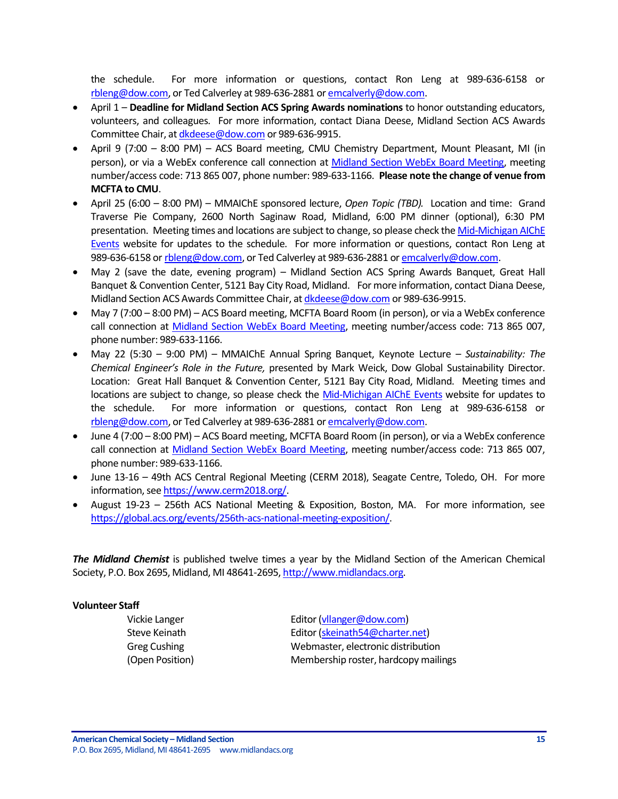the schedule. For more information or questions, contact Ron Leng at 989-636-6158 or [rbleng@dow.com,](mailto:rbleng@dow.com) or Ted Calverley at 989-636-2881 o[r emcalverly@dow.com.](mailto:emcalverly@dow.com)

- April 1 **Deadline for Midland Section ACS Spring Awards nominations** to honor outstanding educators, volunteers, and colleagues. For more information, contact Diana Deese, Midland Section ACS Awards Committee Chair, a[t dkdeese@dow.com](mailto:dkdeese@dow.com) or 989-636-9915.
- April 9 (7:00 8:00 PM) ACS Board meeting, CMU Chemistry Department, Mount Pleasant, MI (in person), or via a WebEx conference call connection at [Midland Section WebEx Board Meeting,](https://dow.webex.com/dow/j.php?MTID=me8747183bc9859c1ef5a94699654f410) meeting number/access code: 713 865 007, phone number: 989-633-1166. **Please note the change of venue from MCFTA to CMU**.
- April 25 (6:00 8:00 PM) MMAIChE sponsored lecture, *Open Topic (TBD).* Location and time: Grand Traverse Pie Company, 2600 North Saginaw Road, Midland, 6:00 PM dinner (optional), 6:30 PM presentation. Meeting times and locations are subject to change, so please check th[e Mid-Michigan AIChE](https://www.aiche.org/community/sites/local-sections/mid-michigan/events)  [Events](https://www.aiche.org/community/sites/local-sections/mid-michigan/events) website for updates to the schedule. For more information or questions, contact Ron Leng at 989-636-6158 or [rbleng@dow.com,](mailto:rbleng@dow.com) or Ted Calverley at 989-636-2881 o[r emcalverly@dow.com.](mailto:emcalverly@dow.com)
- May 2 (save the date, evening program) Midland Section ACS Spring Awards Banquet, Great Hall Banquet & Convention Center, 5121 Bay City Road, Midland. For more information, contact Diana Deese, Midland Section ACS Awards Committee Chair, a[t dkdeese@dow.com](mailto:dkdeese@dow.com) or 989-636-9915.
- May 7 (7:00 8:00 PM) ACS Board meeting, MCFTA Board Room (in person), or via a WebEx conference call connection at [Midland Section WebEx Board Meeting,](https://dow.webex.com/dow/j.php?MTID=me8747183bc9859c1ef5a94699654f410) meeting number/access code: 713 865 007, phone number: 989-633-1166.
- May 22 (5:30 9:00 PM) MMAIChE Annual Spring Banquet, Keynote Lecture *Sustainability: The Chemical Engineer's Role in the Future,* presented by Mark Weick, Dow Global Sustainability Director. Location: Great Hall Banquet & Convention Center, 5121 Bay City Road, Midland. Meeting times and locations are subject to change, so please check the [Mid-Michigan AIChE Events](https://www.aiche.org/community/sites/local-sections/mid-michigan/events) website for updates to the schedule. For more information or questions, contact Ron Leng at 989-636-6158 or [rbleng@dow.com,](mailto:rbleng@dow.com) or Ted Calverley at 989-636-2881 o[r emcalverly@dow.com.](mailto:emcalverly@dow.com)
- June 4 (7:00 8:00 PM) ACS Board meeting, MCFTA Board Room (in person), or via a WebEx conference call connection at [Midland Section WebEx Board Meeting,](https://dow.webex.com/dow/j.php?MTID=me8747183bc9859c1ef5a94699654f410) meeting number/access code: 713 865 007, phone number: 989-633-1166.
- June 13-16 49th ACS Central Regional Meeting (CERM 2018), Seagate Centre, Toledo, OH. For more information, se[e https://www.cerm2018.org/.](https://www.cerm2018.org/)
- August 19-23 256th ACS National Meeting & Exposition, Boston, MA. For more information, see [https://global.acs.org/events/256th-acs-national-meeting-exposition/.](https://global.acs.org/events/256th-acs-national-meeting-exposition/)

*The Midland Chemist* is published twelve times a year by the Midland Section of the American Chemical Society, P.O. Box 2695, Midland, MI 48641-2695[, http://www.midlandacs.org.](http://www.midlandacs.org/)

## **Volunteer Staff**

Vickie Langer **Editor** [\(vllanger@dow.com\)](mailto:vllanger@dow.com) Steve Keinath **Editor** [\(skeinath54@charter.net\)](mailto:skeinath54@charter.net) Greg Cushing Webmaster, electronic distribution (Open Position) Membership roster, hardcopy mailings